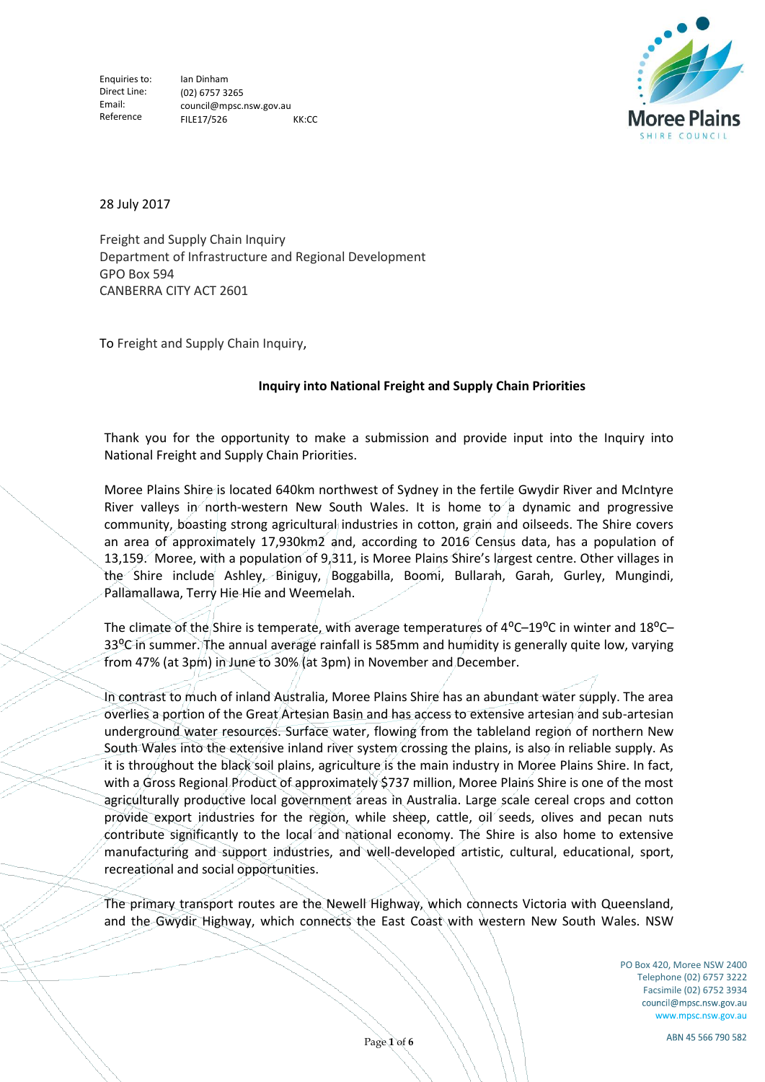

28 July 2017

Freight and Supply Chain Inquiry Department of Infrastructure and Regional Development GPO Box 594 CANBERRA CITY ACT 2601

To Freight and Supply Chain Inquiry,

# **Inquiry into National Freight and Supply Chain Priorities**

Thank you for the opportunity to make a submission and provide input into the Inquiry into National Freight and Supply Chain Priorities.

Moree Plains Shire is located 640km northwest of Sydney in the fertile Gwydir River and McIntyre River valleys in north-western New South Wales. It is home to a dynamic and progressive community, boasting strong agricultural industries in cotton, grain and oilseeds. The Shire covers an area of approximately 17,930km2 and, according to 2016 Census data, has a population of 13,159. Moree, with a population of 9,311, is Moree Plains Shire's largest centre. Other villages in the Shire include Ashley, Biniguy, Boggabilla, Boomi, Bullarah, Garah, Gurley, Mungindi, Pallamallawa, Terry Hie Hie and Weemelah.

The climate of the Shire is temperate, with average temperatures of  $4^{\circ}$ C–19 $^{\circ}$ C in winter and 18 $^{\circ}$ C– 33<sup>o</sup>C in summer. The annual average rainfall is 585mm and humidity is generally quite low, varying from 47% (at 3pm) in June to 30% (at 3pm) in November and December.

In contrast to much of inland Australia, Moree Plains Shire has an abundant water supply. The area overlies a portion of the Great Artesian Basin and has access to extensive artesian and sub-artesian underground water resources. Surface water, flowing from the tableland region of northern New South Wales into the extensive inland river system crossing the plains, is also in reliable supply. As it is throughout the black soil plains, agriculture is the main industry in Moree Plains Shire. In fact, with a Gross Regional Product of approximately \$737 million, Moree Plains Shire is one of the most agriculturally productive local government areas in Australia. Large scale cereal crops and cotton provide export industries for the region, while sheep, cattle, oil seeds, olives and pecan nuts contribute significantly to the local and national economy. The Shire is also home to extensive manufacturing and support industries, and well-developed artistic, cultural, educational, sport, recreational and social opportunities.

The primary transport routes are the Newell Highway, which connects Victoria with Queensland, and the Gwydir Highway, which connects the East Coast with western New South Wales. NSW

> PO Box 420, Moree NSW 2400 Telephone (02) 6757 3222 Facsimile (02) 6752 3934<br>council@mpsc.nsw.gov.au www.mpsc.nsw.gov.au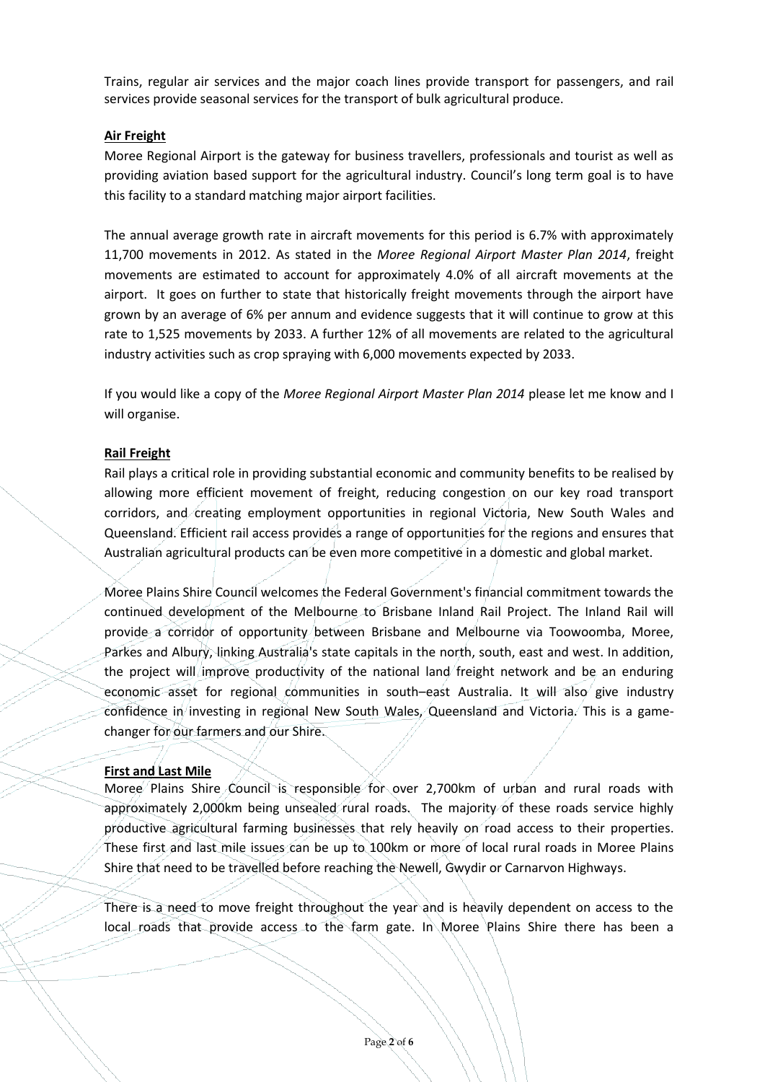Trains, regular air services and the major coach lines provide transport for passengers, and rail services provide seasonal services for the transport of bulk agricultural produce.

## **Air Freight**

Moree Regional Airport is the gateway for business travellers, professionals and tourist as well as providing aviation based support for the agricultural industry. Council's long term goal is to have this facility to a standard matching major airport facilities.

The annual average growth rate in aircraft movements for this period is 6.7% with approximately 11,700 movements in 2012. As stated in the *Moree Regional Airport Master Plan 2014*, freight movements are estimated to account for approximately 4.0% of all aircraft movements at the airport. It goes on further to state that historically freight movements through the airport have grown by an average of 6% per annum and evidence suggests that it will continue to grow at this rate to 1,525 movements by 2033. A further 12% of all movements are related to the agricultural industry activities such as crop spraying with 6,000 movements expected by 2033.

If you would like a copy of the *Moree Regional Airport Master Plan 2014* please let me know and I will organise.

### **Rail Freight**

Rail plays a critical role in providing substantial economic and community benefits to be realised by allowing more efficient movement of freight, reducing congestion on our key road transport corridors, and creating employment opportunities in regional Victoria, New South Wales and Queensland. Efficient rail access provides a range of opportunities for the regions and ensures that Australian agricultural products can be even more competitive in a domestic and global market.

Moree Plains Shire Council welcomes the Federal Government's financial commitment towards the continued development of the Melbourne to Brisbane Inland Rail Project. The Inland Rail will provide a corridor of opportunity between Brisbane and Melbourne via Toowoomba, Moree, Parkes and Albury, linking Australia's state capitals in the north, south, east and west. In addition, the project will improve productivity of the national land freight network and be an enduring economic asset for regional communities in south–east Australia. It will also give industry confidence in investing in regional New South Wales, Queensland and Victoria. This is a gamechanger for our farmers and our Shire.

#### **First and Last Mile**

Moree Plains Shire Council is responsible for over 2,700km of urban and rural roads with approximately 2,000km being unsealed rural roads. The majority of these roads service highly productive agricultural farming businesses that rely heavily on road access to their properties. These first and last mile issues can be up to 100km or more of local rural roads in Moree Plains Shire that need to be travelled before reaching the Newell, Gwydir or Carnarvon Highways.

There is a need to move freight throughout the year and is heavily dependent on access to the local roads that provide access to the farm gate. In Moree Plains Shire there has been a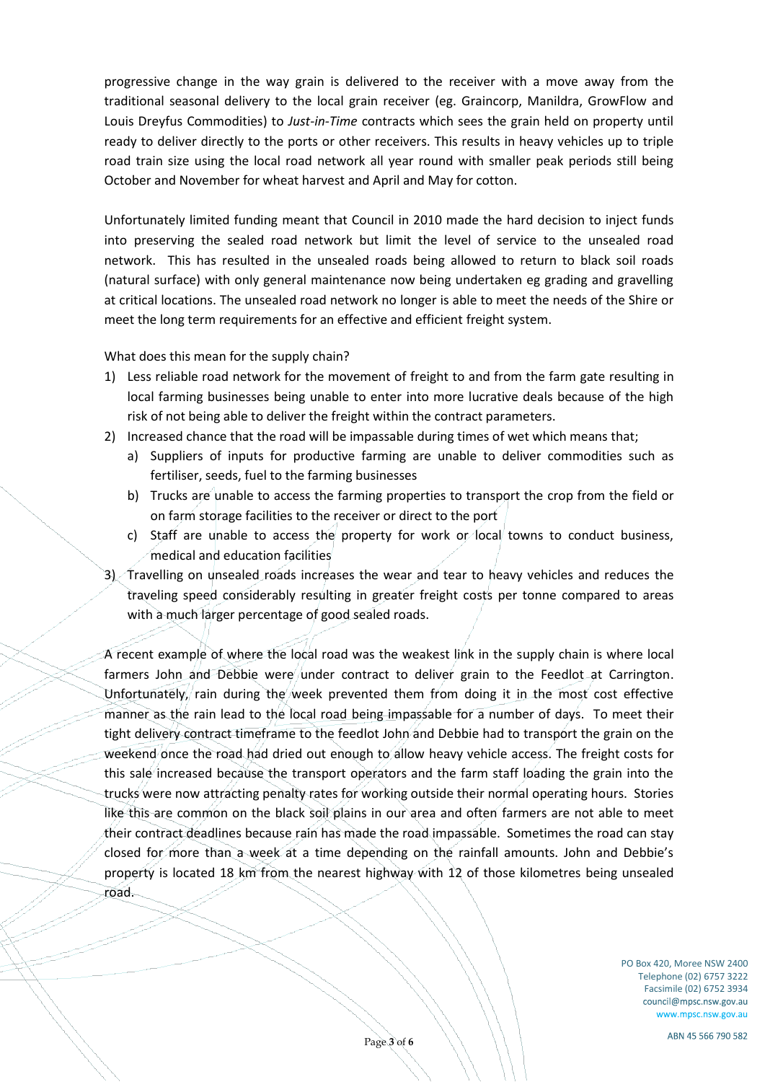progressive change in the way grain is delivered to the receiver with a move away from the traditional seasonal delivery to the local grain receiver (eg. Graincorp, Manildra, GrowFlow and Louis Dreyfus Commodities) to *Just-in-Time* contracts which sees the grain held on property until ready to deliver directly to the ports or other receivers. This results in heavy vehicles up to triple road train size using the local road network all year round with smaller peak periods still being October and November for wheat harvest and April and May for cotton.

Unfortunately limited funding meant that Council in 2010 made the hard decision to inject funds into preserving the sealed road network but limit the level of service to the unsealed road network. This has resulted in the unsealed roads being allowed to return to black soil roads (natural surface) with only general maintenance now being undertaken eg grading and gravelling at critical locations. The unsealed road network no longer is able to meet the needs of the Shire or meet the long term requirements for an effective and efficient freight system.

What does this mean for the supply chain?

- 1) Less reliable road network for the movement of freight to and from the farm gate resulting in local farming businesses being unable to enter into more lucrative deals because of the high risk of not being able to deliver the freight within the contract parameters.
- 2) Increased chance that the road will be impassable during times of wet which means that;
	- a) Suppliers of inputs for productive farming are unable to deliver commodities such as fertiliser, seeds, fuel to the farming businesses
	- b) Trucks are unable to access the farming properties to transport the crop from the field or on farm storage facilities to the receiver or direct to the port
	- c) Staff are unable to access the property for work or local towns to conduct business, medical and education facilities
- 3) Travelling on unsealed roads increases the wear and tear to heavy vehicles and reduces the traveling speed considerably resulting in greater freight costs per tonne compared to areas with a much larger percentage of good sealed roads.

A recent example of where the local road was the weakest link in the supply chain is where local farmers John and Debbie were under contract to deliver grain to the Feedlot at Carrington. Unfortunately, rain during the week prevented them from doing it in the most cost effective manner as the rain lead to the local road being impassable for a number of days. To meet their tight delivery contract timeframe to the feedlot John and Debbie had to transport the grain on the weekend once the road had dried out enough to allow heavy vehicle access. The freight costs for this sale increased because the transport operators and the farm staff loading the grain into the trucks were now attracting penalty rates for working outside their normal operating hours. Stories like this are common on the black soil plains in our area and often farmers are not able to meet their contract deadlines because rain has made the road impassable. Sometimes the road can stay closed for more than a week at a time depending on the rainfall amounts. John and Debbie's property is located 18 km from the nearest highway with 12 of those kilometres being unsealed road.

> PO Box 420, Moree NSW 2400 Telephone (02) 6757 3222 Facsimile (02) 6752 3934 council@mpsc.nsw.gov.au www.mpsc.nsw.gov.au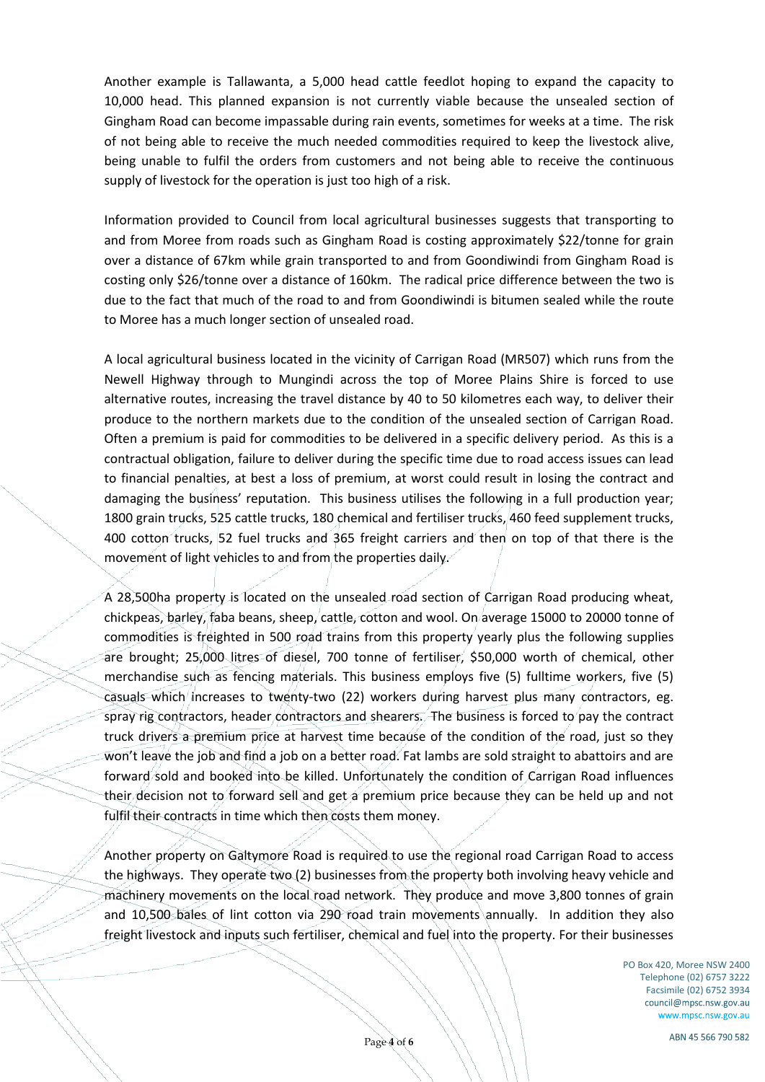Another example is Tallawanta, a 5,000 head cattle feedlot hoping to expand the capacity to 10,000 head. This planned expansion is not currently viable because the unsealed section of Gingham Road can become impassable during rain events, sometimes for weeks at a time. The risk of not being able to receive the much needed commodities required to keep the livestock alive, being unable to fulfil the orders from customers and not being able to receive the continuous supply of livestock for the operation is just too high of a risk.

Information provided to Council from local agricultural businesses suggests that transporting to and from Moree from roads such as Gingham Road is costing approximately \$22/tonne for grain over a distance of 67km while grain transported to and from Goondiwindi from Gingham Road is costing only \$26/tonne over a distance of 160km. The radical price difference between the two is due to the fact that much of the road to and from Goondiwindi is bitumen sealed while the route to Moree has a much longer section of unsealed road.

A local agricultural business located in the vicinity of Carrigan Road (MR507) which runs from the Newell Highway through to Mungindi across the top of Moree Plains Shire is forced to use alternative routes, increasing the travel distance by 40 to 50 kilometres each way, to deliver their produce to the northern markets due to the condition of the unsealed section of Carrigan Road. Often a premium is paid for commodities to be delivered in a specific delivery period. As this is a contractual obligation, failure to deliver during the specific time due to road access issues can lead to financial penalties, at best a loss of premium, at worst could result in losing the contract and damaging the business' reputation. This business utilises the following in a full production year; 1800 grain trucks, 525 cattle trucks, 180 chemical and fertiliser trucks, 460 feed supplement trucks, 400 cotton trucks, 52 fuel trucks and 365 freight carriers and then on top of that there is the movement of light vehicles to and from the properties daily.

A 28,500ha property is located on the unsealed road section of Carrigan Road producing wheat, chickpeas, barley, faba beans, sheep, cattle, cotton and wool. On average 15000 to 20000 tonne of commodities is freighted in 500 road trains from this property yearly plus the following supplies are brought; 25,000 litres of diesel, 700 tonne of fertiliser, \$50,000 worth of chemical, other merchandise such as fencing materials. This business employs five (5) fulltime workers, five (5) casuals which increases to twenty-two (22) workers during harvest plus many contractors, eg. spray rig contractors, header contractors and shearers. The business is forced to pay the contract truck drivers a premium price at harvest time because of the condition of the road, just so they won't leave the job and find a job on a better road. Fat lambs are sold straight to abattoirs and are forward sold and booked into be killed. Unfortunately the condition of Carrigan Road influences their decision not to forward sell and get a premium price because they can be held up and not fulfil their contracts in time which then costs them money.

Another property on Galtymore Road is required to use the regional road Carrigan Road to access the highways. They operate two (2) businesses from the property both involving heavy vehicle and machinery movements on the local road network. They produce and move 3,800 tonnes of grain and 10,500 bales of lint cotton via 290 road train movements annually. In addition they also freight livestock and inputs such fertiliser, chemical and fuel into the property. For their businesses

> PO Box 420, Moree NSW 2400 Telephone (02) 6757 3222 Facsimile (02) 6752 3934 council@mpsc.nsw.gov.au www.mpsc.nsw.gov.au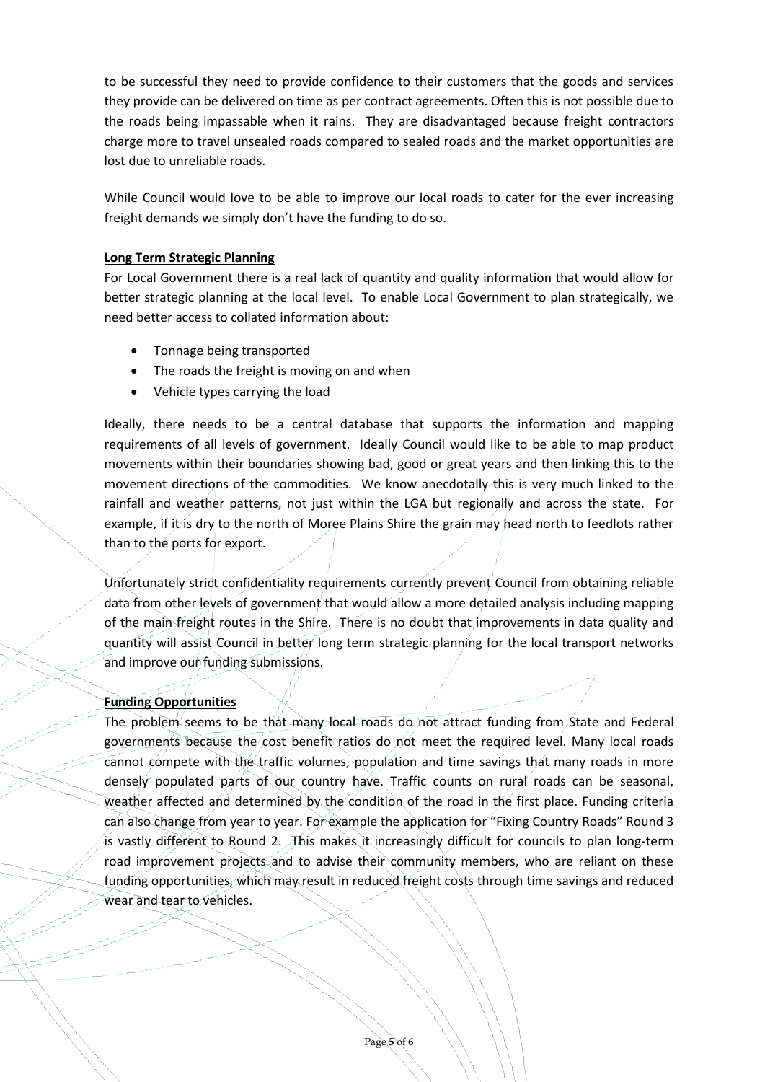to be successful they need to provide confidence to their customers that the goods and services they provide can be delivered on time as per contract agreements. Often this is not possible due to the roads being impassable when it rains. They are disadvantaged because freight contractors charge more to travel unsealed roads compared to sealed roads and the market opportunities are lost due to unreliable roads.

While Council would love to be able to improve our local roads to cater for the ever increasing freight demands we simply don't have the funding to do so.

## **Long Term Strategic Planning**

For Local Government there is a real lack of quantity and quality information that would allow for better strategic planning at the local level. To enable Local Government to plan strategically, we need better access to collated information about:

- Tonnage being transported
- The roads the freight is moving on and when
- Vehicle types carrying the load

Ideally, there needs to be a central database that supports the information and mapping requirements of all levels of government. Ideally Council would like to be able to map product movements within their boundaries showing bad, good or great years and then linking this to the movement directions of the commodities. We know anecdotally this is very much linked to the rainfall and weather patterns, not just within the LGA but regionally and across the state. For example, if it is dry to the north of Moree Plains Shire the grain may head north to feedlots rather than to the ports for export.

Unfortunately strict confidentiality requirements currently prevent Council from obtaining reliable data from other levels of government that would allow a more detailed analysis including mapping of the main freight routes in the Shire. There is no doubt that improvements in data quality and quantity will assist Council in better long term strategic planning for the local transport networks and improve our funding submissions.

# **Funding Opportunities**

The problem seems to be that many local roads do not attract funding from State and Federal governments because the cost benefit ratios do not meet the required level. Many local roads cannot compete with the traffic volumes, population and time savings that many roads in more densely populated parts of our country have. Traffic counts on rural roads can be seasonal, weather affected and determined by the condition of the road in the first place. Funding criteria can also change from year to year. For example the application for "Fixing Country Roads" Round 3 is vastly different to Round 2. This makes it increasingly difficult for councils to plan long-term road improvement projects and to advise their community members, who are reliant on these funding opportunities, which may result in reduced freight costs through time savings and reduced wear and tear to vehicles.